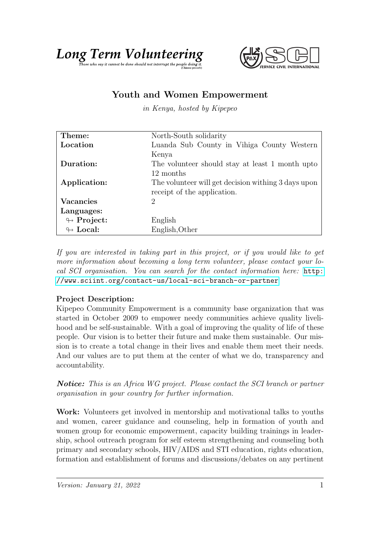



## Youth and Women Empowerment

in Kenya, hosted by Kipepeo

| Theme:                     | North-South solidarity                              |
|----------------------------|-----------------------------------------------------|
| Location                   | Luanda Sub County in Vihiga County Western          |
|                            | Kenya                                               |
| Duration:                  | The volunteer should stay at least 1 month upto     |
|                            | 12 months                                           |
| Application:               | The volunteer will get decision withing 3 days upon |
|                            | receipt of the application.                         |
| <b>Vacancies</b>           | 2                                                   |
| Languages:                 |                                                     |
| $\leftrightarrow$ Project: | English                                             |
| $\leftrightarrow$ Local:   | English, Other                                      |

If you are interested in taking part in this project, or if you would like to get more information about becoming a long term volunteer, please contact your local SCI organisation. You can search for the contact information here: [http:](http://www.sciint.org/contact-us/local-sci-branch-or-partner) [//www.sciint.org/contact-us/local-sci-branch-or-partner](http://www.sciint.org/contact-us/local-sci-branch-or-partner)

## Project Description:

Kipepeo Community Empowerment is a community base organization that was started in October 2009 to empower needy communities achieve quality livelihood and be self-sustainable. With a goal of improving the quality of life of these people. Our vision is to better their future and make them sustainable. Our mission is to create a total change in their lives and enable them meet their needs. And our values are to put them at the center of what we do, transparency and accountability.

**Notice:** This is an Africa WG project. Please contact the SCI branch or partner organisation in your country for further information.

Work: Volunteers get involved in mentorship and motivational talks to youths and women, career guidance and counseling, help in formation of youth and women group for economic empowerment, capacity building trainings in leadership, school outreach program for self esteem strengthening and counseling both primary and secondary schools, HIV/AIDS and STI education, rights education, formation and establishment of forums and discussions/debates on any pertinent